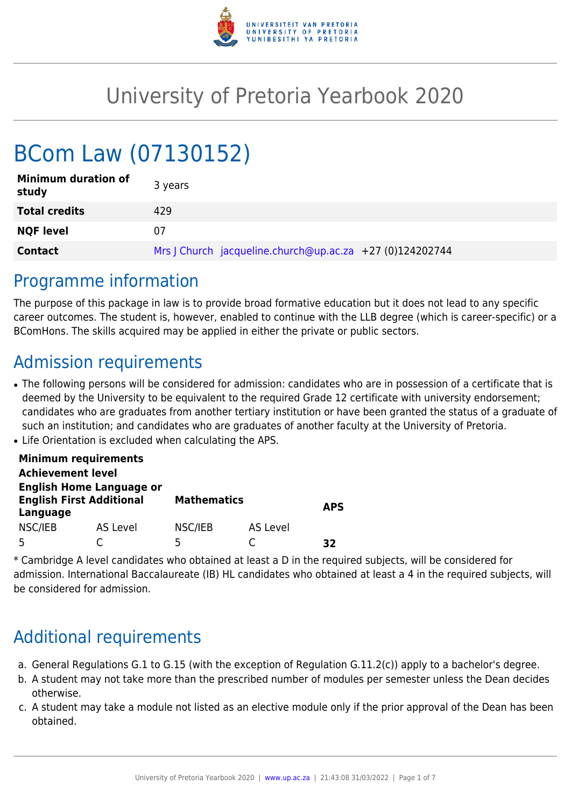

# University of Pretoria Yearbook 2020

# BCom Law (07130152)

| <b>Minimum duration of</b><br>study | 3 years                                                  |
|-------------------------------------|----------------------------------------------------------|
| <b>Total credits</b>                | 429                                                      |
| <b>NQF level</b>                    | 07                                                       |
| <b>Contact</b>                      | Mrs   Church jacqueline.church@up.ac.za +27 (0)124202744 |

### Programme information

The purpose of this package in law is to provide broad formative education but it does not lead to any specific career outcomes. The student is, however, enabled to continue with the LLB degree (which is career-specific) or a BComHons. The skills acquired may be applied in either the private or public sectors.

## Admission requirements

- The following persons will be considered for admission: candidates who are in possession of a certificate that is deemed by the University to be equivalent to the required Grade 12 certificate with university endorsement; candidates who are graduates from another tertiary institution or have been granted the status of a graduate of such an institution; and candidates who are graduates of another faculty at the University of Pretoria.
- Life Orientation is excluded when calculating the APS.

|                                                                                | <b>Minimum requirements</b> |                    |          |            |
|--------------------------------------------------------------------------------|-----------------------------|--------------------|----------|------------|
| <b>Achievement level</b>                                                       |                             |                    |          |            |
| <b>English Home Language or</b><br><b>English First Additional</b><br>Language |                             | <b>Mathematics</b> |          | <b>APS</b> |
| NSC/IEB                                                                        | AS Level                    | NSC/IEB            | AS Level |            |
|                                                                                |                             | 5                  |          | マフ         |

\* Cambridge A level candidates who obtained at least a D in the required subjects, will be considered for admission. International Baccalaureate (IB) HL candidates who obtained at least a 4 in the required subjects, will be considered for admission.

# Additional requirements

- a. General Regulations G.1 to G.15 (with the exception of Regulation G.11.2(c)) apply to a bachelor's degree.
- b. A student may not take more than the prescribed number of modules per semester unless the Dean decides otherwise.
- c. A student may take a module not listed as an elective module only if the prior approval of the Dean has been obtained.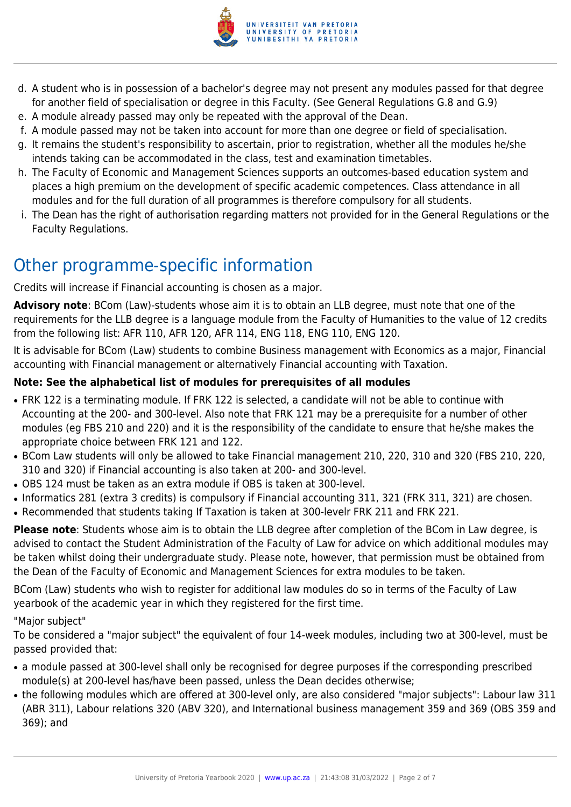

- d. A student who is in possession of a bachelor's degree may not present any modules passed for that degree for another field of specialisation or degree in this Faculty. (See General Regulations G.8 and G.9)
- e. A module already passed may only be repeated with the approval of the Dean.
- f. A module passed may not be taken into account for more than one degree or field of specialisation.
- g. It remains the student's responsibility to ascertain, prior to registration, whether all the modules he/she intends taking can be accommodated in the class, test and examination timetables.
- h. The Faculty of Economic and Management Sciences supports an outcomes-based education system and places a high premium on the development of specific academic competences. Class attendance in all modules and for the full duration of all programmes is therefore compulsory for all students.
- i. The Dean has the right of authorisation regarding matters not provided for in the General Regulations or the Faculty Regulations.

# Other programme-specific information

Credits will increase if Financial accounting is chosen as a major.

**Advisory note**: BCom (Law)-students whose aim it is to obtain an LLB degree, must note that one of the requirements for the LLB degree is a language module from the Faculty of Humanities to the value of 12 credits from the following list: AFR 110, AFR 120, AFR 114, ENG 118, ENG 110, ENG 120.

It is advisable for BCom (Law) students to combine Business management with Economics as a major, Financial accounting with Financial management or alternatively Financial accounting with Taxation.

#### **Note: See the alphabetical list of modules for prerequisites of all modules**

- FRK 122 is a terminating module. If FRK 122 is selected, a candidate will not be able to continue with Accounting at the 200- and 300-level. Also note that FRK 121 may be a prerequisite for a number of other modules (eg FBS 210 and 220) and it is the responsibility of the candidate to ensure that he/she makes the appropriate choice between FRK 121 and 122.
- BCom Law students will only be allowed to take Financial management 210, 220, 310 and 320 (FBS 210, 220, 310 and 320) if Financial accounting is also taken at 200- and 300-level.
- OBS 124 must be taken as an extra module if OBS is taken at 300-level.
- Informatics 281 (extra 3 credits) is compulsory if Financial accounting 311, 321 (FRK 311, 321) are chosen.
- Recommended that students taking If Taxation is taken at 300-levelr FRK 211 and FRK 221.

**Please note**: Students whose aim is to obtain the LLB degree after completion of the BCom in Law degree, is advised to contact the Student Administration of the Faculty of Law for advice on which additional modules may be taken whilst doing their undergraduate study. Please note, however, that permission must be obtained from the Dean of the Faculty of Economic and Management Sciences for extra modules to be taken.

BCom (Law) students who wish to register for additional law modules do so in terms of the Faculty of Law yearbook of the academic year in which they registered for the first time.

#### "Major subject"

To be considered a "major subject" the equivalent of four 14-week modules, including two at 300-level, must be passed provided that:

- a module passed at 300-level shall only be recognised for degree purposes if the corresponding prescribed module(s) at 200-level has/have been passed, unless the Dean decides otherwise;
- the following modules which are offered at 300-level only, are also considered "major subjects": Labour law 311 (ABR 311), Labour relations 320 (ABV 320), and International business management 359 and 369 (OBS 359 and 369); and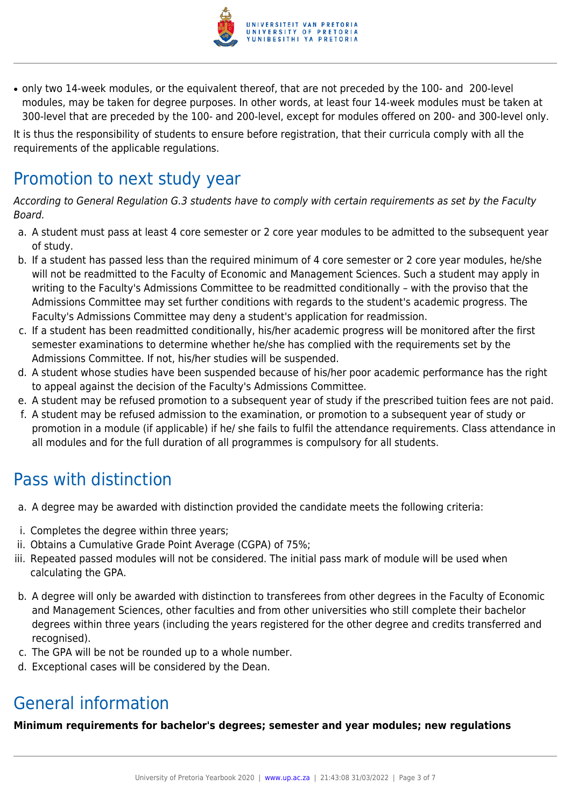

• only two 14-week modules, or the equivalent thereof, that are not preceded by the 100- and 200-level modules, may be taken for degree purposes. In other words, at least four 14-week modules must be taken at 300-level that are preceded by the 100- and 200-level, except for modules offered on 200- and 300-level only.

It is thus the responsibility of students to ensure before registration, that their curricula comply with all the requirements of the applicable regulations.

# Promotion to next study year

According to General Regulation G.3 students have to comply with certain requirements as set by the Faculty Board.

- a. A student must pass at least 4 core semester or 2 core year modules to be admitted to the subsequent year of study.
- b. If a student has passed less than the required minimum of 4 core semester or 2 core year modules, he/she will not be readmitted to the Faculty of Economic and Management Sciences. Such a student may apply in writing to the Faculty's Admissions Committee to be readmitted conditionally – with the proviso that the Admissions Committee may set further conditions with regards to the student's academic progress. The Faculty's Admissions Committee may deny a student's application for readmission.
- c. If a student has been readmitted conditionally, his/her academic progress will be monitored after the first semester examinations to determine whether he/she has complied with the requirements set by the Admissions Committee. If not, his/her studies will be suspended.
- d. A student whose studies have been suspended because of his/her poor academic performance has the right to appeal against the decision of the Faculty's Admissions Committee.
- e. A student may be refused promotion to a subsequent year of study if the prescribed tuition fees are not paid.
- f. A student may be refused admission to the examination, or promotion to a subsequent year of study or promotion in a module (if applicable) if he/ she fails to fulfil the attendance requirements. Class attendance in all modules and for the full duration of all programmes is compulsory for all students.

# Pass with distinction

- a. A degree may be awarded with distinction provided the candidate meets the following criteria:
- i. Completes the degree within three years;
- ii. Obtains a Cumulative Grade Point Average (CGPA) of 75%;
- iii. Repeated passed modules will not be considered. The initial pass mark of module will be used when calculating the GPA.
- b. A degree will only be awarded with distinction to transferees from other degrees in the Faculty of Economic and Management Sciences, other faculties and from other universities who still complete their bachelor degrees within three years (including the years registered for the other degree and credits transferred and recognised).
- c. The GPA will be not be rounded up to a whole number.
- d. Exceptional cases will be considered by the Dean.

## General information

**Minimum requirements for bachelor's degrees; semester and year modules; new regulations**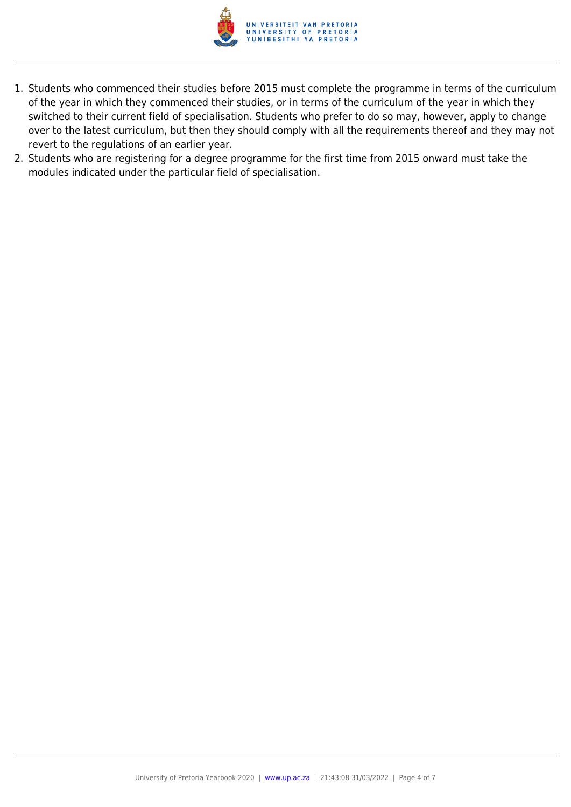

- 1. Students who commenced their studies before 2015 must complete the programme in terms of the curriculum of the year in which they commenced their studies, or in terms of the curriculum of the year in which they switched to their current field of specialisation. Students who prefer to do so may, however, apply to change over to the latest curriculum, but then they should comply with all the requirements thereof and they may not revert to the regulations of an earlier year.
- 2. Students who are registering for a degree programme for the first time from 2015 onward must take the modules indicated under the particular field of specialisation.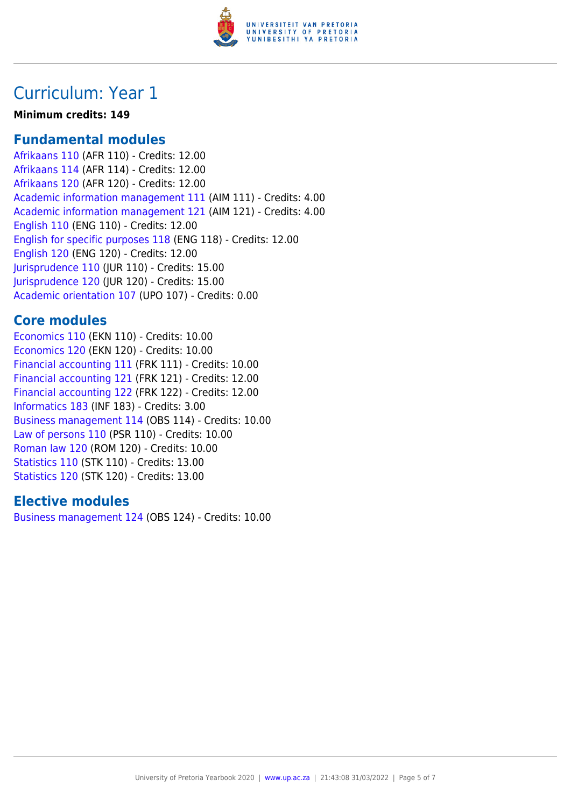

### Curriculum: Year 1

#### **Minimum credits: 149**

#### **Fundamental modules**

[Afrikaans 110](https://www.up.ac.za/yearbooks/2020/modules/view/AFR 110) (AFR 110) - Credits: 12.00 [Afrikaans 114](https://www.up.ac.za/yearbooks/2020/modules/view/AFR 114) (AFR 114) - Credits: 12.00 [Afrikaans 120](https://www.up.ac.za/yearbooks/2020/modules/view/AFR 120) (AFR 120) - Credits: 12.00 [Academic information management 111](https://www.up.ac.za/yearbooks/2020/modules/view/AIM 111) (AIM 111) - Credits: 4.00 [Academic information management 121](https://www.up.ac.za/yearbooks/2020/modules/view/AIM 121) (AIM 121) - Credits: 4.00 [English 110](https://www.up.ac.za/yearbooks/2020/modules/view/ENG 110) (ENG 110) - Credits: 12.00 [English for specific purposes 118](https://www.up.ac.za/yearbooks/2020/modules/view/ENG 118) (ENG 118) - Credits: 12.00 [English 120](https://www.up.ac.za/yearbooks/2020/modules/view/ENG 120) (ENG 120) - Credits: 12.00 [Jurisprudence 110](https://www.up.ac.za/yearbooks/2020/modules/view/JUR 110) (JUR 110) - Credits: 15.00 [Jurisprudence 120](https://www.up.ac.za/yearbooks/2020/modules/view/JUR 120) (JUR 120) - Credits: 15.00 [Academic orientation 107](https://www.up.ac.za/yearbooks/2020/modules/view/UPO 107) (UPO 107) - Credits: 0.00

#### **Core modules**

[Economics 110](https://www.up.ac.za/yearbooks/2020/modules/view/EKN 110) (EKN 110) - Credits: 10.00 [Economics 120](https://www.up.ac.za/yearbooks/2020/modules/view/EKN 120) (EKN 120) - Credits: 10.00 [Financial accounting 111](https://www.up.ac.za/yearbooks/2020/modules/view/FRK 111) (FRK 111) - Credits: 10.00 [Financial accounting 121](https://www.up.ac.za/yearbooks/2020/modules/view/FRK 121) (FRK 121) - Credits: 12.00 [Financial accounting 122](https://www.up.ac.za/yearbooks/2020/modules/view/FRK 122) (FRK 122) - Credits: 12.00 [Informatics 183](https://www.up.ac.za/yearbooks/2020/modules/view/INF 183) (INF 183) - Credits: 3.00 [Business management 114](https://www.up.ac.za/yearbooks/2020/modules/view/OBS 114) (OBS 114) - Credits: 10.00 [Law of persons 110](https://www.up.ac.za/yearbooks/2020/modules/view/PSR 110) (PSR 110) - Credits: 10.00 [Roman law 120](https://www.up.ac.za/yearbooks/2020/modules/view/ROM 120) (ROM 120) - Credits: 10.00 [Statistics 110](https://www.up.ac.za/yearbooks/2020/modules/view/STK 110) (STK 110) - Credits: 13.00 [Statistics 120](https://www.up.ac.za/yearbooks/2020/modules/view/STK 120) (STK 120) - Credits: 13.00

#### **Elective modules**

[Business management 124](https://www.up.ac.za/yearbooks/2020/modules/view/OBS 124) (OBS 124) - Credits: 10.00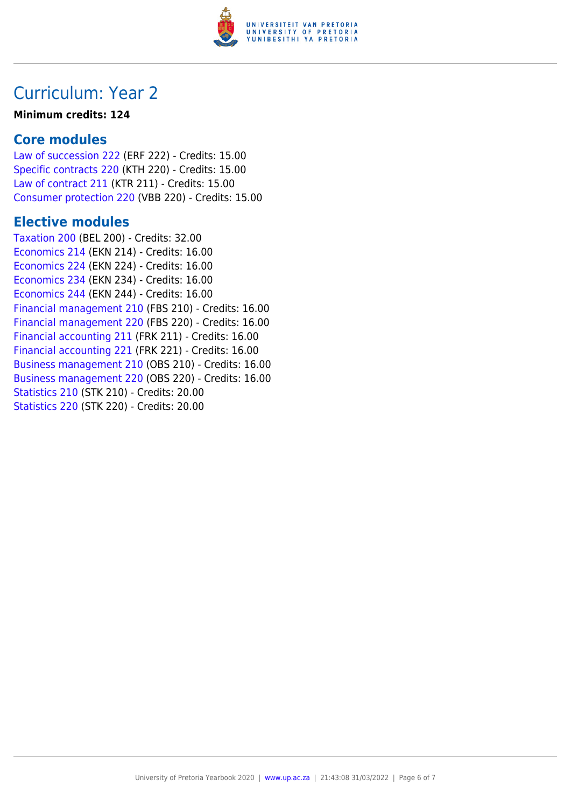

## Curriculum: Year 2

#### **Minimum credits: 124**

#### **Core modules**

[Law of succession 222](https://www.up.ac.za/yearbooks/2020/modules/view/ERF 222) (ERF 222) - Credits: 15.00 [Specific contracts 220](https://www.up.ac.za/yearbooks/2020/modules/view/KTH 220) (KTH 220) - Credits: 15.00 [Law of contract 211](https://www.up.ac.za/yearbooks/2020/modules/view/KTR 211) (KTR 211) - Credits: 15.00 [Consumer protection 220](https://www.up.ac.za/yearbooks/2020/modules/view/VBB 220) (VBB 220) - Credits: 15.00

#### **Elective modules**

[Taxation 200](https://www.up.ac.za/yearbooks/2020/modules/view/BEL 200) (BEL 200) - Credits: 32.00 [Economics 214](https://www.up.ac.za/yearbooks/2020/modules/view/EKN 214) (EKN 214) - Credits: 16.00 [Economics 224](https://www.up.ac.za/yearbooks/2020/modules/view/EKN 224) (EKN 224) - Credits: 16.00 [Economics 234](https://www.up.ac.za/yearbooks/2020/modules/view/EKN 234) (EKN 234) - Credits: 16.00 [Economics 244](https://www.up.ac.za/yearbooks/2020/modules/view/EKN 244) (EKN 244) - Credits: 16.00 [Financial management 210](https://www.up.ac.za/yearbooks/2020/modules/view/FBS 210) (FBS 210) - Credits: 16.00 [Financial management 220](https://www.up.ac.za/yearbooks/2020/modules/view/FBS 220) (FBS 220) - Credits: 16.00 [Financial accounting 211](https://www.up.ac.za/yearbooks/2020/modules/view/FRK 211) (FRK 211) - Credits: 16.00 [Financial accounting 221](https://www.up.ac.za/yearbooks/2020/modules/view/FRK 221) (FRK 221) - Credits: 16.00 [Business management 210](https://www.up.ac.za/yearbooks/2020/modules/view/OBS 210) (OBS 210) - Credits: 16.00 [Business management 220](https://www.up.ac.za/yearbooks/2020/modules/view/OBS 220) (OBS 220) - Credits: 16.00 [Statistics 210](https://www.up.ac.za/yearbooks/2020/modules/view/STK 210) (STK 210) - Credits: 20.00 [Statistics 220](https://www.up.ac.za/yearbooks/2020/modules/view/STK 220) (STK 220) - Credits: 20.00